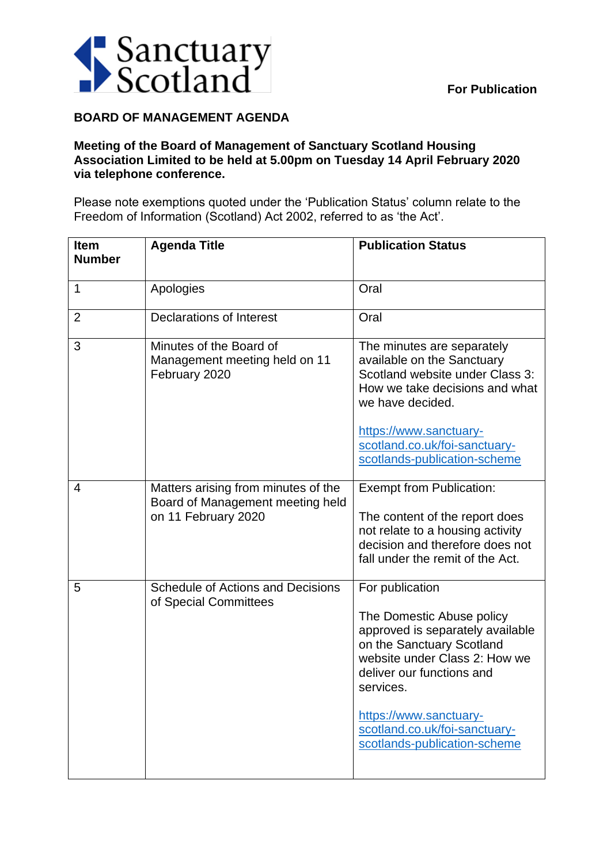

## **BOARD OF MANAGEMENT AGENDA**

## **Meeting of the Board of Management of Sanctuary Scotland Housing Association Limited to be held at 5.00pm on Tuesday 14 April February 2020 via telephone conference.**

Please note exemptions quoted under the 'Publication Status' column relate to the Freedom of Information (Scotland) Act 2002, referred to as 'the Act'.

| <b>Item</b><br><b>Number</b> | <b>Agenda Title</b>                                                                            | <b>Publication Status</b>                                                                                                                                                                                                                                                           |
|------------------------------|------------------------------------------------------------------------------------------------|-------------------------------------------------------------------------------------------------------------------------------------------------------------------------------------------------------------------------------------------------------------------------------------|
| 1                            | Apologies                                                                                      | Oral                                                                                                                                                                                                                                                                                |
| $\overline{2}$               | <b>Declarations of Interest</b>                                                                | Oral                                                                                                                                                                                                                                                                                |
| 3                            | Minutes of the Board of<br>Management meeting held on 11<br>February 2020                      | The minutes are separately<br>available on the Sanctuary<br>Scotland website under Class 3:<br>How we take decisions and what<br>we have decided.<br>https://www.sanctuary-<br>scotland.co.uk/foi-sanctuary-<br>scotlands-publication-scheme                                        |
| 4                            | Matters arising from minutes of the<br>Board of Management meeting held<br>on 11 February 2020 | <b>Exempt from Publication:</b><br>The content of the report does<br>not relate to a housing activity<br>decision and therefore does not<br>fall under the remit of the Act.                                                                                                        |
| 5                            | <b>Schedule of Actions and Decisions</b><br>of Special Committees                              | For publication<br>The Domestic Abuse policy<br>approved is separately available<br>on the Sanctuary Scotland<br>website under Class 2: How we<br>deliver our functions and<br>services.<br>https://www.sanctuary-<br>scotland.co.uk/foi-sanctuary-<br>scotlands-publication-scheme |